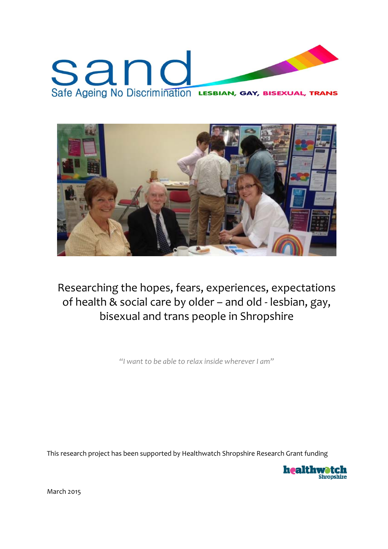# sanc Safe Ageing No Discrimination LESBIAN, GAY, BISEXUAL, TRANS



Researching the hopes, fears, experiences, expectations of health & social care by older – and old ‐ lesbian, gay, bisexual and trans people in Shropshire

*"I want to be able to relax inside wherever I am"*

This research project has been supported by Healthwatch Shropshire Research Grant funding



March 2015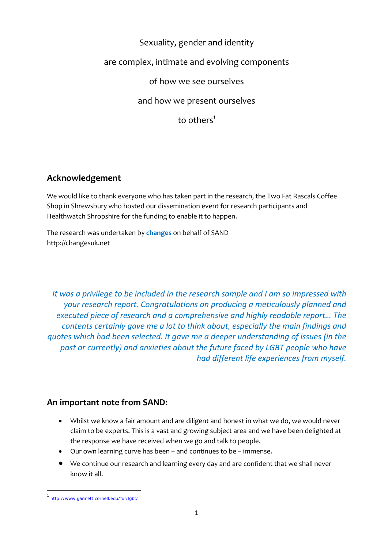# Sexuality, gender and identity

## are complex, intimate and evolving components

of how we see ourselves

and how we present ourselves

to others $<sup>1</sup>$ </sup>

## **Acknowledgement**

We would like to thank everyone who has taken part in the research, the Two Fat Rascals Coffee Shop in Shrewsbury who hosted our dissemination event for research participants and Healthwatch Shropshire for the funding to enable it to happen.

The research was undertaken by **changes** on behalf of SAND http://changesuk.net

*It was a privilege to be included in the research sample and I am so impressed with your research report. Congratulations on producing a meticulously planned and executed piece of research and a comprehensive and highly readable report… The contents certainly gave me a lot to think about, especially the main findings and quotes which had been selected. It gave me a deeper understanding of issues (in the past or currently) and anxieties about the future faced by LGBT people who have had different life experiences from myself.* 

## **An important note from SAND:**

- Whilst we know a fair amount and are diligent and honest in what we do, we would never claim to be experts. This is a vast and growing subject area and we have been delighted at the response we have received when we go and talk to people.
- Our own learning curve has been and continues to be immense.
- We continue our research and learning every day and are confident that we shall never know it all.

 <sup>1</sup> http://www.gannett.cornell.edu/for/lgbt/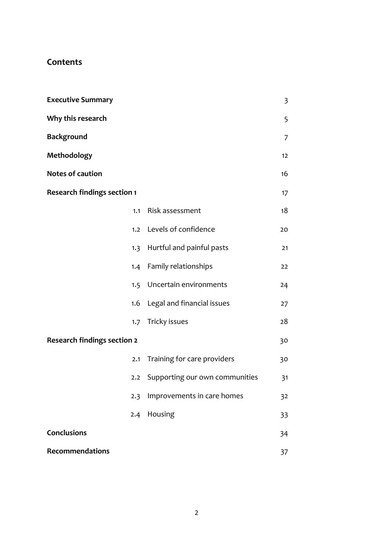# **Contents**

| <b>Executive Summary</b>           |                                | 3  |
|------------------------------------|--------------------------------|----|
| Why this research                  |                                | 5  |
| <b>Background</b>                  |                                | 7  |
| Methodology                        |                                | 12 |
| <b>Notes of caution</b>            |                                | 16 |
| <b>Research findings section 1</b> |                                | 17 |
| 1.1                                | Risk assessment                | 18 |
| 1.2                                | Levels of confidence           | 20 |
| 1.3                                | Hurtful and painful pasts      | 21 |
|                                    | 1.4 Family relationships       | 22 |
| 1.5                                | Uncertain environments         | 24 |
| 1.6                                | Legal and financial issues     | 27 |
| 1.7                                | Tricky issues                  | 28 |
| <b>Research findings section 2</b> |                                | 30 |
| 2.1                                | Training for care providers    | 30 |
| 2.2                                | Supporting our own communities | 31 |
| 2.3                                | Improvements in care homes     | 32 |
| 2.4                                | Housing                        | 33 |
| <b>Conclusions</b>                 |                                | 34 |
| <b>Recommendations</b>             |                                | 37 |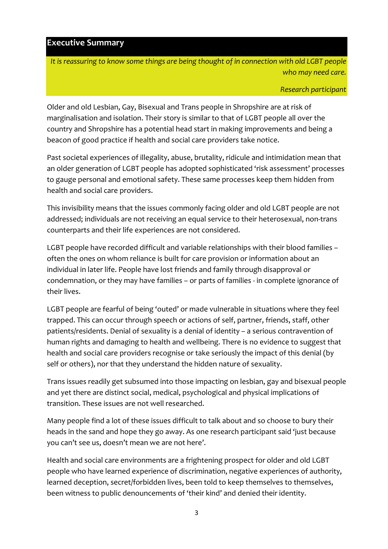#### **Executive Summary**

*It is reassuring to know some things are being thought of in connection with old LGBT people who may need care.*

*Research participant*

Older and old Lesbian, Gay, Bisexual and Trans people in Shropshire are at risk of marginalisation and isolation. Their story is similar to that of LGBT people all over the country and Shropshire has a potential head start in making improvements and being a beacon of good practice if health and social care providers take notice.

Past societal experiences of illegality, abuse, brutality, ridicule and intimidation mean that an older generation of LGBT people has adopted sophisticated 'risk assessment' processes to gauge personal and emotional safety. These same processes keep them hidden from health and social care providers.

This invisibility means that the issues commonly facing older and old LGBT people are not addressed; individuals are not receiving an equal service to their heterosexual, non‐trans counterparts and their life experiences are not considered.

LGBT people have recorded difficult and variable relationships with their blood families – often the ones on whom reliance is built for care provision or information about an individual in later life. People have lost friends and family through disapproval or condemnation, or they may have families – or parts of families ‐ in complete ignorance of their lives.

LGBT people are fearful of being 'outed' or made vulnerable in situations where they feel trapped. This can occur through speech or actions of self, partner, friends, staff, other patients/residents. Denial of sexuality is a denial of identity – a serious contravention of human rights and damaging to health and wellbeing. There is no evidence to suggest that health and social care providers recognise or take seriously the impact of this denial (by self or others), nor that they understand the hidden nature of sexuality.

Trans issues readily get subsumed into those impacting on lesbian, gay and bisexual people and yet there are distinct social, medical, psychological and physical implications of transition. These issues are not well researched.

Many people find a lot of these issues difficult to talk about and so choose to bury their heads in the sand and hope they go away. As one research participant said 'just because you can't see us, doesn't mean we are not here'.

Health and social care environments are a frightening prospect for older and old LGBT people who have learned experience of discrimination, negative experiences of authority, learned deception, secret/forbidden lives, been told to keep themselves to themselves, been witness to public denouncements of 'their kind' and denied their identity.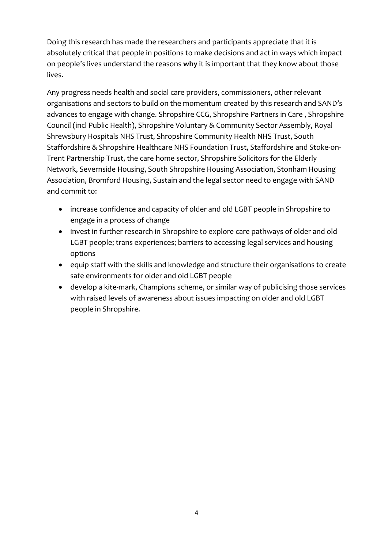Doing this research has made the researchers and participants appreciate that it is absolutely critical that people in positions to make decisions and act in ways which impact on people's lives understand the reasons **why** it is important that they know about those lives.

Any progress needs health and social care providers, commissioners, other relevant organisations and sectors to build on the momentum created by this research and SAND's advances to engage with change. Shropshire CCG, Shropshire Partners in Care , Shropshire Council (incl Public Health), Shropshire Voluntary & Community Sector Assembly, Royal Shrewsbury Hospitals NHS Trust, Shropshire Community Health NHS Trust, South Staffordshire & Shropshire Healthcare NHS Foundation Trust, Staffordshire and Stoke‐on‐ Trent Partnership Trust, the care home sector, Shropshire Solicitors for the Elderly Network, Severnside Housing, South Shropshire Housing Association, Stonham Housing Association, Bromford Housing, Sustain and the legal sector need to engage with SAND and commit to:

- increase confidence and capacity of older and old LGBT people in Shropshire to engage in a process of change
- invest in further research in Shropshire to explore care pathways of older and old LGBT people; trans experiences; barriers to accessing legal services and housing options
- equip staff with the skills and knowledge and structure their organisations to create safe environments for older and old LGBT people
- develop a kite‐mark, Champions scheme, or similar way of publicising those services with raised levels of awareness about issues impacting on older and old LGBT people in Shropshire.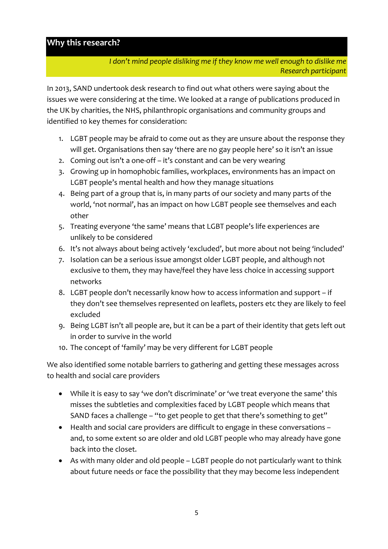## **Why this research?**

*I don't mind people disliking me if they know me well enough to dislike me Research participant*

In 2013, SAND undertook desk research to find out what others were saying about the issues we were considering at the time. We looked at a range of publications produced in the UK by charities, the NHS, philanthropic organisations and community groups and identified 10 key themes for consideration:

- 1. LGBT people may be afraid to come out as they are unsure about the response they will get. Organisations then say 'there are no gay people here' so it isn't an issue
- 2. Coming out isn't a one‐off it's constant and can be very wearing
- 3. Growing up in homophobic families, workplaces, environments has an impact on LGBT people's mental health and how they manage situations
- 4. Being part of a group that is, in many parts of our society and many parts of the world, 'not normal', has an impact on how LGBT people see themselves and each other
- 5. Treating everyone 'the same' means that LGBT people's life experiences are unlikely to be considered
- 6. It's not always about being actively 'excluded', but more about not being 'included'
- 7. Isolation can be a serious issue amongst older LGBT people, and although not exclusive to them, they may have/feel they have less choice in accessing support networks
- 8. LGBT people don't necessarily know how to access information and support if they don't see themselves represented on leaflets, posters etc they are likely to feel excluded
- 9. Being LGBT isn't all people are, but it can be a part of their identity that gets left out in order to survive in the world
- 10. The concept of 'family' may be very different for LGBT people

We also identified some notable barriers to gathering and getting these messages across to health and social care providers

- While it is easy to say 'we don't discriminate' or 'we treat everyone the same' this misses the subtleties and complexities faced by LGBT people which means that SAND faces a challenge – "to get people to get that there's something to get"
- Health and social care providers are difficult to engage in these conversations and, to some extent so are older and old LGBT people who may already have gone back into the closet.
- As with many older and old people LGBT people do not particularly want to think about future needs or face the possibility that they may become less independent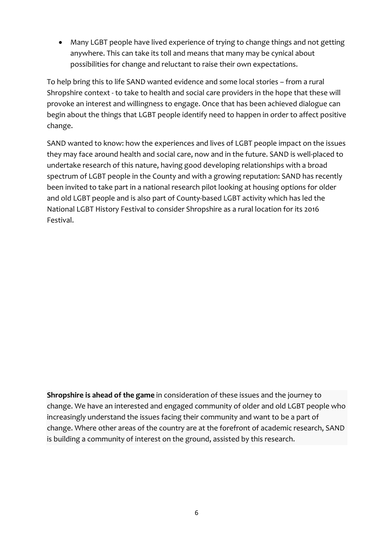Many LGBT people have lived experience of trying to change things and not getting anywhere. This can take its toll and means that many may be cynical about possibilities for change and reluctant to raise their own expectations.

To help bring this to life SAND wanted evidence and some local stories – from a rural Shropshire context ‐ to take to health and social care providers in the hope that these will provoke an interest and willingness to engage. Once that has been achieved dialogue can begin about the things that LGBT people identify need to happen in order to affect positive change.

SAND wanted to know: how the experiences and lives of LGBT people impact on the issues they may face around health and social care, now and in the future. SAND is well‐placed to undertake research of this nature, having good developing relationships with a broad spectrum of LGBT people in the County and with a growing reputation: SAND has recently been invited to take part in a national research pilot looking at housing options for older and old LGBT people and is also part of County‐based LGBT activity which has led the National LGBT History Festival to consider Shropshire as a rural location for its 2016 Festival.

**Shropshire is ahead of the game** in consideration of these issues and the journey to change. We have an interested and engaged community of older and old LGBT people who increasingly understand the issues facing their community and want to be a part of change. Where other areas of the country are at the forefront of academic research, SAND is building a community of interest on the ground, assisted by this research.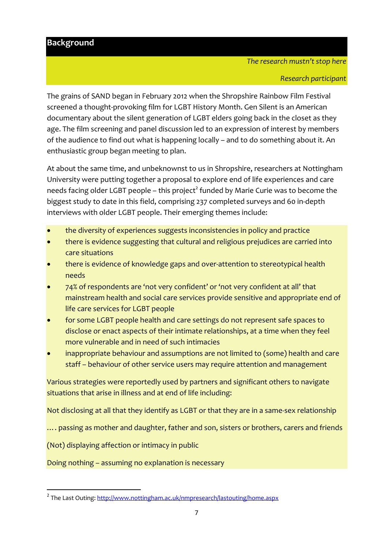## **Background**

#### *The research mustn't stop here*

The grains of SAND began in February 2012 when the Shropshire Rainbow Film Festival screened a thought‐provoking film for LGBT History Month. Gen Silent is an American documentary about the silent generation of LGBT elders going back in the closet as they age. The film screening and panel discussion led to an expression of interest by members of the audience to find out what is happening locally – and to do something about it. An enthusiastic group began meeting to plan.

At about the same time, and unbeknownst to us in Shropshire, researchers at Nottingham University were putting together a proposal to explore end of life experiences and care needs facing older LGBT people – this project<sup>2</sup> funded by Marie Curie was to become the biggest study to date in this field, comprising 237 completed surveys and 60 in‐depth interviews with older LGBT people. Their emerging themes include:

- the diversity of experiences suggests inconsistencies in policy and practice
- there is evidence suggesting that cultural and religious prejudices are carried into care situations
- there is evidence of knowledge gaps and over‐attention to stereotypical health needs
- 74% of respondents are 'not very confident' or 'not very confident at all' that mainstream health and social care services provide sensitive and appropriate end of life care services for LGBT people
- for some LGBT people health and care settings do not represent safe spaces to disclose or enact aspects of their intimate relationships, at a time when they feel more vulnerable and in need of such intimacies
- inappropriate behaviour and assumptions are not limited to (some) health and care staff – behaviour of other service users may require attention and management

Various strategies were reportedly used by partners and significant others to navigate situations that arise in illness and at end of life including:

Not disclosing at all that they identify as LGBT or that they are in a same‐sex relationship

.... passing as mother and daughter, father and son, sisters or brothers, carers and friends

(Not) displaying affection or intimacy in public

Doing nothing – assuming no explanation is necessary

<sup>&</sup>lt;sup>2</sup> The Last Outing: http://www.nottingham.ac.uk/nmpresearch/lastouting/home.aspx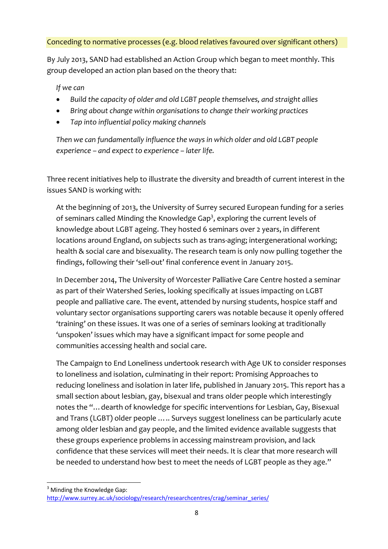Conceding to normative processes (e.g. blood relatives favoured over significant others)

By July 2013, SAND had established an Action Group which began to meet monthly. This group developed an action plan based on the theory that:

*If we can*

- *Build the capacity of older and old LGBT people themselves, and straight allies*
- *Bring about change within organisations to change their working practices*
- *Tap into influential policy making channels*

*Then we can fundamentally influence the ways in which older and old LGBT people experience – and expect to experience – later life.*

Three recent initiatives help to illustrate the diversity and breadth of current interest in the issues SAND is working with:

At the beginning of 2013, the University of Surrey secured European funding for a series of seminars called Minding the Knowledge Gap<sup>3</sup>, exploring the current levels of knowledge about LGBT ageing. They hosted 6 seminars over 2 years, in different locations around England, on subjects such as trans-aging; intergenerational working; health & social care and bisexuality. The research team is only now pulling together the findings, following their 'sell-out' final conference event in January 2015.

In December 2014, The University of Worcester Palliative Care Centre hosted a seminar as part of their Watershed Series, looking specifically at issues impacting on LGBT people and palliative care. The event, attended by nursing students, hospice staff and voluntary sector organisations supporting carers was notable because it openly offered 'training' on these issues. It was one of a series of seminars looking at traditionally 'unspoken' issues which may have a significant impact for some people and communities accessing health and social care.

The Campaign to End Loneliness undertook research with Age UK to consider responses to loneliness and isolation, culminating in their report: Promising Approaches to reducing loneliness and isolation in later life, published in January 2015. This report has a small section about lesbian, gay, bisexual and trans older people which interestingly notes the "…dearth of knowledge for specific interventions for Lesbian, Gay, Bisexual and Trans (LGBT) older people ….. Surveys suggest loneliness can be particularly acute among older lesbian and gay people, and the limited evidence available suggests that these groups experience problems in accessing mainstream provision, and lack confidence that these services will meet their needs. It is clear that more research will be needed to understand how best to meet the needs of LGBT people as they age."

 $3$  Minding the Knowledge Gap: http://www.surrey.ac.uk/sociology/research/researchcentres/crag/seminar\_series/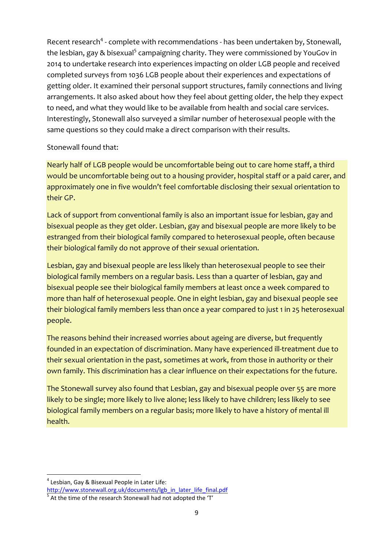Recent research<sup>4</sup> - complete with recommendations - has been undertaken by, Stonewall, the lesbian, gay & bisexual<sup>5</sup> campaigning charity. They were commissioned by YouGov in 2014 to undertake research into experiences impacting on older LGB people and received completed surveys from 1036 LGB people about their experiences and expectations of getting older. It examined their personal support structures, family connections and living arrangements. It also asked about how they feel about getting older, the help they expect to need, and what they would like to be available from health and social care services. Interestingly, Stonewall also surveyed a similar number of heterosexual people with the same questions so they could make a direct comparison with their results.

#### Stonewall found that:

Nearly half of LGB people would be uncomfortable being out to care home staff, a third would be uncomfortable being out to a housing provider, hospital staff or a paid carer, and approximately one in five wouldn't feel comfortable disclosing their sexual orientation to their GP.

Lack of support from conventional family is also an important issue for lesbian, gay and bisexual people as they get older. Lesbian, gay and bisexual people are more likely to be estranged from their biological family compared to heterosexual people, often because their biological family do not approve of their sexual orientation.

Lesbian, gay and bisexual people are less likely than heterosexual people to see their biological family members on a regular basis. Less than a quarter of lesbian, gay and bisexual people see their biological family members at least once a week compared to more than half of heterosexual people. One in eight lesbian, gay and bisexual people see their biological family members less than once a year compared to just 1 in 25 heterosexual people.

The reasons behind their increased worries about ageing are diverse, but frequently founded in an expectation of discrimination. Many have experienced ill‐treatment due to their sexual orientation in the past, sometimes at work, from those in authority or their own family. This discrimination has a clear influence on their expectations for the future.

The Stonewall survey also found that Lesbian, gay and bisexual people over 55 are more likely to be single; more likely to live alone; less likely to have children; less likely to see biological family members on a regular basis; more likely to have a history of mental ill health.

 $4$  Lesbian, Gay & Bisexual People in Later Life:

http://www.stonewall.org.uk/documents/lgb\_in\_later\_life\_final.pdf  $\frac{5}{5}$  At the time of the research Stonewall had not adopted the 'T'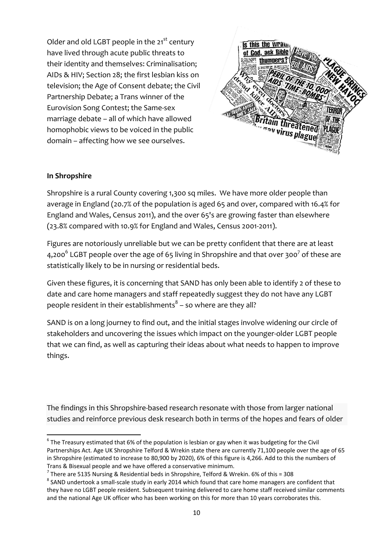Older and old LGBT people in the 21<sup>st</sup> century have lived through acute public threats to their identity and themselves: Criminalisation; AIDs & HIV; Section 28; the first lesbian kiss on television; the Age of Consent debate; the Civil Partnership Debate; a Trans winner of the Eurovision Song Contest; the Same‐sex marriage debate – all of which have allowed homophobic views to be voiced in the public domain – affecting how we see ourselves.



#### **In Shropshire**

Shropshire is a rural County covering 1,300 sq miles. We have more older people than average in England (20.7% of the population is aged 65 and over, compared with 16.4% for England and Wales, Census 2011), and the over 65's are growing faster than elsewhere (23.8% compared with 10.9% for England and Wales, Census 2001‐2011).

Figures are notoriously unreliable but we can be pretty confident that there are at least 4,200<sup>6</sup> LGBT people over the age of 65 living in Shropshire and that over 300<sup>7</sup> of these are statistically likely to be in nursing or residential beds.

Given these figures, it is concerning that SAND has only been able to identify 2 of these to date and care home managers and staff repeatedly suggest they do not have any LGBT people resident in their establishments<sup>8</sup> – so where are they all?

SAND is on a long journey to find out, and the initial stages involve widening our circle of stakeholders and uncovering the issues which impact on the younger‐older LGBT people that we can find, as well as capturing their ideas about what needs to happen to improve things.

The findings in this Shropshire‐based research resonate with those from larger national studies and reinforce previous desk research both in terms of the hopes and fears of older

 $6$  The Treasury estimated that 6% of the population is lesbian or gay when it was budgeting for the Civil Partnerships Act. Age UK Shropshire Telford & Wrekin state there are currently 71,100 people over the age of 65 in Shropshire (estimated to increase to 80,900 by 2020), 6% of this figure is 4,266. Add to this the numbers of Trans & Bisexual people and we have offered a conservative minimum.<br>
<sup>7</sup> There are 5135 Nursing & Residential beds in Shropshire, Telford & Wrekin. 6% of this = 308<br>
<sup>8</sup> SAND undertook a small-scale study in early 2014 wh

they have no LGBT people resident. Subsequent training delivered to care home staff received similar comments and the national Age UK officer who has been working on this for more than 10 years corroborates this.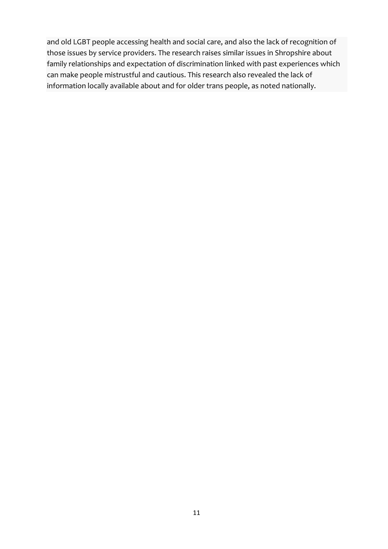and old LGBT people accessing health and social care, and also the lack of recognition of those issues by service providers. The research raises similar issues in Shropshire about family relationships and expectation of discrimination linked with past experiences which can make people mistrustful and cautious. This research also revealed the lack of information locally available about and for older trans people, as noted nationally.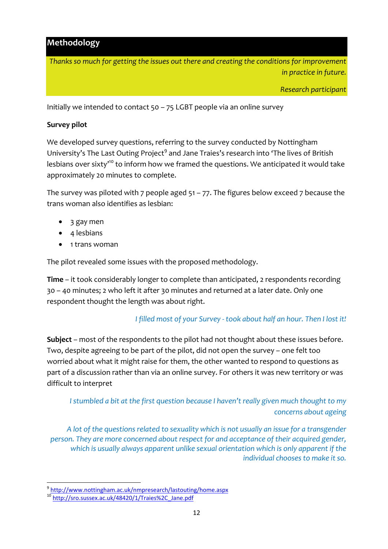## **Methodology**

*Thanks so much for getting the issues out there and creating the conditions for improvement in practice in future.*

*Research participant*

Initially we intended to contact 50 – 75 LGBT people via an online survey

#### **Survey pilot**

We developed survey questions, referring to the survey conducted by Nottingham University's The Last Outing Project<sup>9</sup> and Jane Traies's research into 'The lives of British lesbians over sixty<sup>10</sup> to inform how we framed the questions. We anticipated it would take approximately 20 minutes to complete.

The survey was piloted with 7 people aged  $51 - 77$ . The figures below exceed 7 because the trans woman also identifies as lesbian:

- 3 gay men
- 4 lesbians
- 1 trans woman

The pilot revealed some issues with the proposed methodology.

**Time** – it took considerably longer to complete than anticipated, 2 respondents recording 30 – 40 minutes; 2 who left it after 30 minutes and returned at a later date. Only one respondent thought the length was about right.

#### *I filled most of your Survey ‐ took about half an hour. Then I lost it!*

**Subject** – most of the respondents to the pilot had not thought about these issues before. Two, despite agreeing to be part of the pilot, did not open the survey – one felt too worried about what it might raise for them, the other wanted to respond to questions as part of a discussion rather than via an online survey. For others it was new territory or was difficult to interpret

## *I stumbled a bit at the first question because I haven't really given much thought to my concerns about ageing*

*A lot of the questions related to sexuality which is not usually an issue for a transgender person. They are more concerned about respect for and acceptance of their acquired gender, which is usually always apparent unlike sexual orientation which is only apparent if the individual chooses to make it so.*

<sup>&</sup>lt;sup>9</sup>http://www.nottingham.ac.uk/nmpresearch/lastouting/home.aspx

<sup>10</sup> http://sro.sussex.ac.uk/48420/1/Traies%2C\_Jane.pdf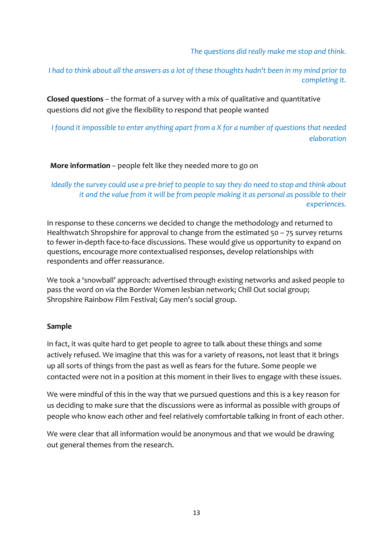*The questions did really make me stop and think.*

I had to think about all the answers as a lot of these thoughts hadn't been in my mind prior to *completing it.*

**Closed questions** – the format of a survey with a mix of qualitative and quantitative questions did not give the flexibility to respond that people wanted

*I found it impossible to enter anything apart from a X for a number of questions that needed elaboration*

#### **More information** – people felt like they needed more to go on

Ideally the survey could use a pre-brief to people to say they do need to stop and think about *it and the value from it will be from people making it as personal as possible to their experiences.*

In response to these concerns we decided to change the methodology and returned to Healthwatch Shropshire for approval to change from the estimated 50 – 75 survey returns to fewer in‐depth face‐to‐face discussions. These would give us opportunity to expand on questions, encourage more contextualised responses, develop relationships with respondents and offer reassurance.

We took a 'snowball' approach: advertised through existing networks and asked people to pass the word on via the Border Women lesbian network; Chill Out social group; Shropshire Rainbow Film Festival; Gay men's social group.

#### **Sample**

In fact, it was quite hard to get people to agree to talk about these things and some actively refused. We imagine that this was for a variety of reasons, not least that it brings up all sorts of things from the past as well as fears for the future. Some people we contacted were not in a position at this moment in their lives to engage with these issues.

We were mindful of this in the way that we pursued questions and this is a key reason for us deciding to make sure that the discussions were as informal as possible with groups of people who know each other and feel relatively comfortable talking in front of each other.

We were clear that all information would be anonymous and that we would be drawing out general themes from the research.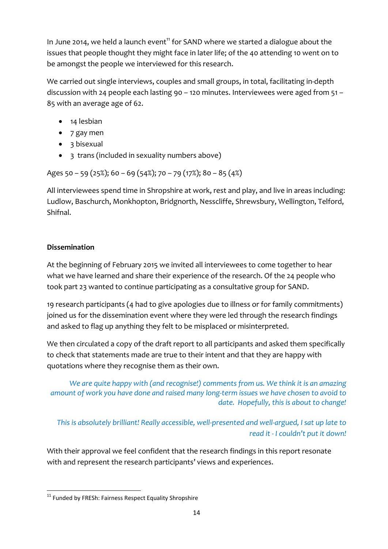In June 2014, we held a launch event<sup>11</sup> for SAND where we started a dialogue about the issues that people thought they might face in later life; of the 40 attending 10 went on to be amongst the people we interviewed for this research.

We carried out single interviews, couples and small groups, in total, facilitating in‐depth discussion with 24 people each lasting 90 – 120 minutes. Interviewees were aged from 51 – 85 with an average age of 62.

- 14 lesbian
- 7 gay men
- 3 bisexual
- 3 trans (included in sexuality numbers above)

Ages 50 – 59 (25%); 60 – 69 (54%); 70 – 79 (17%); 80 – 85 (4%)

All interviewees spend time in Shropshire at work, rest and play, and live in areas including: Ludlow, Baschurch, Monkhopton, Bridgnorth, Nesscliffe, Shrewsbury, Wellington, Telford, Shifnal.

## **Dissemination**

At the beginning of February 2015 we invited all interviewees to come together to hear what we have learned and share their experience of the research. Of the 24 people who took part 23 wanted to continue participating as a consultative group for SAND.

19 research participants (4 had to give apologies due to illness or for family commitments) joined us for the dissemination event where they were led through the research findings and asked to flag up anything they felt to be misplaced or misinterpreted.

We then circulated a copy of the draft report to all participants and asked them specifically to check that statements made are true to their intent and that they are happy with quotations where they recognise them as their own.

*We are quite happy with (and recognise!) comments from us. We think it is an amazing amount of work you have done and raised many long‐term issues we have chosen to avoid to date. Hopefully, this is about to change!*

*This is absolutely brilliant! Really accessible, well‐presented and well‐argued, I sat up late to read it ‐ I couldn't put it down!*

With their approval we feel confident that the research findings in this report resonate with and represent the research participants' views and experiences.

 <sup>11</sup> Funded by FRESh: Fairness Respect Equality Shropshire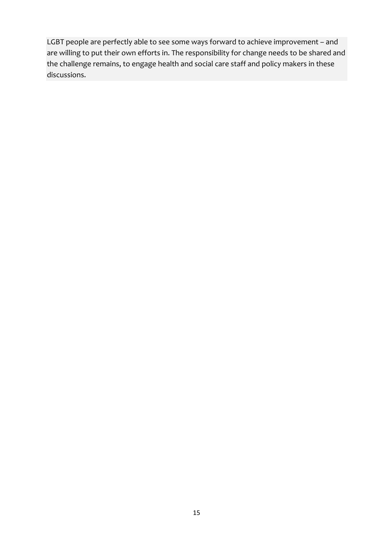LGBT people are perfectly able to see some ways forward to achieve improvement – and are willing to put their own efforts in. The responsibility for change needs to be shared and the challenge remains, to engage health and social care staff and policy makers in these discussions.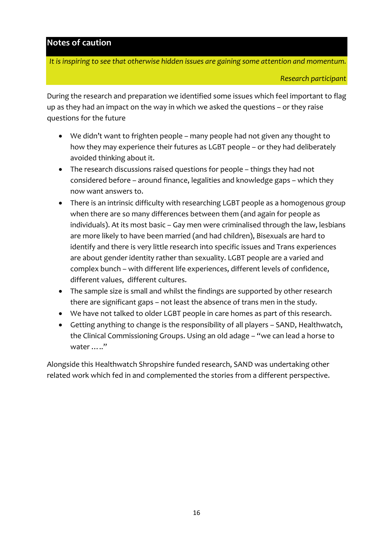## **Notes of caution**

*It is inspiring to see that otherwise hidden issues are gaining some attention and momentum.*

During the research and preparation we identified some issues which feel important to flag up as they had an impact on the way in which we asked the questions – or they raise questions for the future

- We didn't want to frighten people many people had not given any thought to how they may experience their futures as LGBT people – or they had deliberately avoided thinking about it.
- The research discussions raised questions for people things they had not considered before – around finance, legalities and knowledge gaps – which they now want answers to.
- There is an intrinsic difficulty with researching LGBT people as a homogenous group when there are so many differences between them (and again for people as individuals). At its most basic – Gay men were criminalised through the law, lesbians are more likely to have been married (and had children), Bisexuals are hard to identify and there is very little research into specific issues and Trans experiences are about gender identity rather than sexuality. LGBT people are a varied and complex bunch – with different life experiences, different levels of confidence, different values, different cultures.
- The sample size is small and whilst the findings are supported by other research there are significant gaps – not least the absence of trans men in the study.
- We have not talked to older LGBT people in care homes as part of this research.
- Getting anything to change is the responsibility of all players SAND, Healthwatch, the Clinical Commissioning Groups. Using an old adage – "we can lead a horse to water ….."

Alongside this Healthwatch Shropshire funded research, SAND was undertaking other related work which fed in and complemented the stories from a different perspective.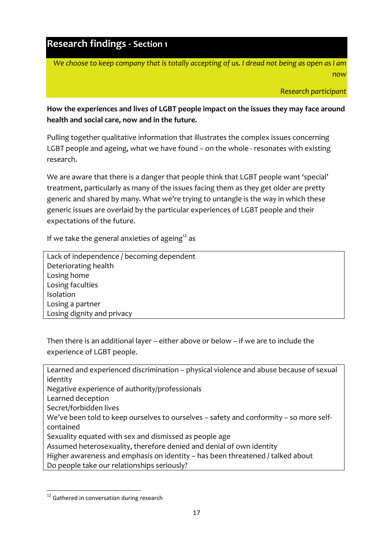# **Research findings ‐ Section 1**

We choose to keep company that is totally accepting of us. I dread not being as open as I am *now*

*Research participant*

**How the experiences and lives of LGBT people impact on the issues they may face around health and social care, now and in the future.**

Pulling together qualitative information that illustrates the complex issues concerning LGBT people and ageing, what we have found - on the whole - resonates with existing research.

We are aware that there is a danger that people think that LGBT people want 'special' treatment, particularly as many of the issues facing them as they get older are pretty generic and shared by many. What we're trying to untangle is the way in which these generic issues are overlaid by the particular experiences of LGBT people and their expectations of the future.

If we take the general anxieties of ageing<sup>12</sup> as

Lack of independence / becoming dependent Deteriorating health Losing home Losing faculties Isolation Losing a partner Losing dignity and privacy

Then there is an additional layer – either above or below – if we are to include the experience of LGBT people.

Learned and experienced discrimination – physical violence and abuse because of sexual identity Negative experience of authority/professionals Learned deception Secret/forbidden lives We've been told to keep ourselves to ourselves – safety and conformity – so more selfcontained Sexuality equated with sex and dismissed as people age Assumed heterosexuality, therefore denied and denial of own identity Higher awareness and emphasis on identity – has been threatened / talked about Do people take our relationships seriously?

  $12$  Gathered in conversation during research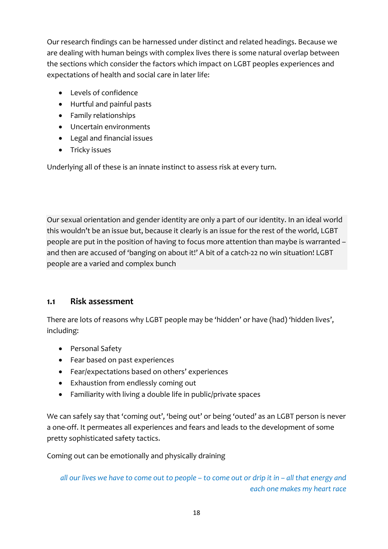Our research findings can be harnessed under distinct and related headings. Because we are dealing with human beings with complex lives there is some natural overlap between the sections which consider the factors which impact on LGBT peoples experiences and expectations of health and social care in later life:

- Levels of confidence
- Hurtful and painful pasts
- Family relationships
- Uncertain environments
- Legal and financial issues
- Tricky issues

Underlying all of these is an innate instinct to assess risk at every turn.

Our sexual orientation and gender identity are only a part of our identity. In an ideal world this wouldn't be an issue but, because it clearly is an issue for the rest of the world, LGBT people are put in the position of having to focus more attention than maybe is warranted – and then are accused of 'banging on about it!' A bit of a catch-22 no win situation! LGBT people are a varied and complex bunch

#### **1.1 Risk assessment**

There are lots of reasons why LGBT people may be 'hidden' or have (had) 'hidden lives', including:

- Personal Safety
- Fear based on past experiences
- Fear/expectations based on others' experiences
- Exhaustion from endlessly coming out
- Familiarity with living a double life in public/private spaces

We can safely say that 'coming out', 'being out' or being 'outed' as an LGBT person is never a one‐off. It permeates all experiences and fears and leads to the development of some pretty sophisticated safety tactics.

Coming out can be emotionally and physically draining

all our lives we have to come out to people – to come out or drip it in – all that energy and *each one makes my heart race*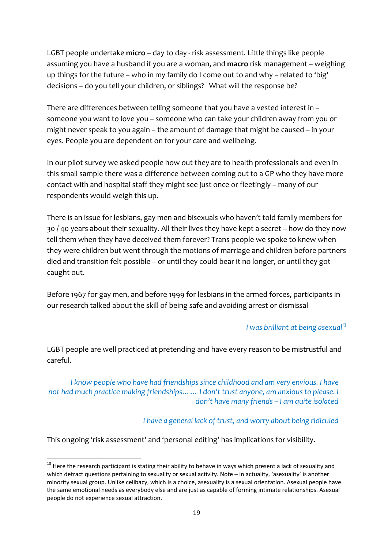LGBT people undertake **micro** – day to day ‐ risk assessment. Little things like people assuming you have a husband if you are a woman, and **macro** risk management – weighing up things for the future – who in my family do I come out to and why – related to 'big' decisions – do you tell your children, or siblings? What will the response be?

There are differences between telling someone that you have a vested interest in – someone you want to love you – someone who can take your children away from you or might never speak to you again – the amount of damage that might be caused – in your eyes. People you are dependent on for your care and wellbeing.

In our pilot survey we asked people how out they are to health professionals and even in this small sample there was a difference between coming out to a GP who they have more contact with and hospital staff they might see just once or fleetingly – many of our respondents would weigh this up.

There is an issue for lesbians, gay men and bisexuals who haven't told family members for 30 / 40 years about their sexuality. All their lives they have kept a secret – how do they now tell them when they have deceived them forever? Trans people we spoke to knew when they were children but went through the motions of marriage and children before partners died and transition felt possible – or until they could bear it no longer, or until they got caught out.

Before 1967 for gay men, and before 1999 for lesbians in the armed forces, participants in our research talked about the skill of being safe and avoiding arrest or dismissal

#### *I was brilliant at being asexual13*

LGBT people are well practiced at pretending and have every reason to be mistrustful and careful.

*I know people who have had friendships since childhood and am very envious. I have not had much practice making friendships…… I don't trust anyone, am anxious to please. I don't have many friends – I am quite isolated*

*I have a general lack of trust, and worry about being ridiculed*

This ongoing 'risk assessment' and 'personal editing' has implications for visibility.

 $^{13}$  Here the research participant is stating their ability to behave in ways which present a lack of sexuality and which detract questions pertaining to sexuality or sexual activity. Note – in actuality, 'asexuality' is another minority sexual group. Unlike celibacy, which is a choice, asexuality is a sexual orientation. Asexual people have the same emotional needs as everybody else and are just as capable of forming intimate relationships. Asexual people do not experience sexual attraction.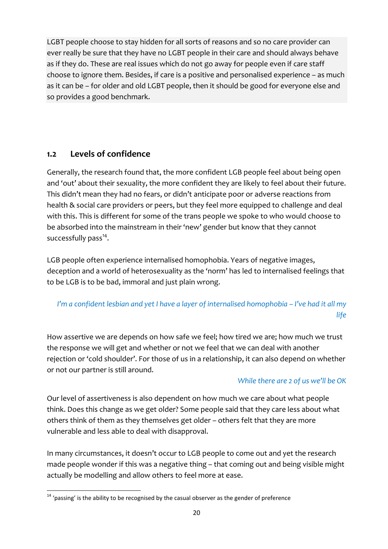LGBT people choose to stay hidden for all sorts of reasons and so no care provider can ever really be sure that they have no LGBT people in their care and should always behave as if they do. These are real issues which do not go away for people even if care staff choose to ignore them. Besides, if care is a positive and personalised experience – as much as it can be – for older and old LGBT people, then it should be good for everyone else and so provides a good benchmark.

## **1.2 Levels of confidence**

Generally, the research found that, the more confident LGB people feel about being open and 'out' about their sexuality, the more confident they are likely to feel about their future. This didn't mean they had no fears, or didn't anticipate poor or adverse reactions from health & social care providers or peers, but they feel more equipped to challenge and deal with this. This is different for some of the trans people we spoke to who would choose to be absorbed into the mainstream in their 'new' gender but know that they cannot successfully pass $^{14}$ .

LGB people often experience internalised homophobia. Years of negative images, deception and a world of heterosexuality as the 'norm' has led to internalised feelings that to be LGB is to be bad, immoral and just plain wrong.

# I'm a confident lesbian and yet I have a layer of internalised homophobia - I've had it all my *life*

How assertive we are depends on how safe we feel; how tired we are; how much we trust the response we will get and whether or not we feel that we can deal with another rejection or 'cold shoulder'. For those of us in a relationship, it can also depend on whether or not our partner is still around.

#### *While there are 2 of us we'll be OK*

Our level of assertiveness is also dependent on how much we care about what people think. Does this change as we get older? Some people said that they care less about what others think of them as they themselves get older – others felt that they are more vulnerable and less able to deal with disapproval.

In many circumstances, it doesn't occur to LGB people to come out and yet the research made people wonder if this was a negative thing – that coming out and being visible might actually be modelling and allow others to feel more at ease.

  $14$  'passing' is the ability to be recognised by the casual observer as the gender of preference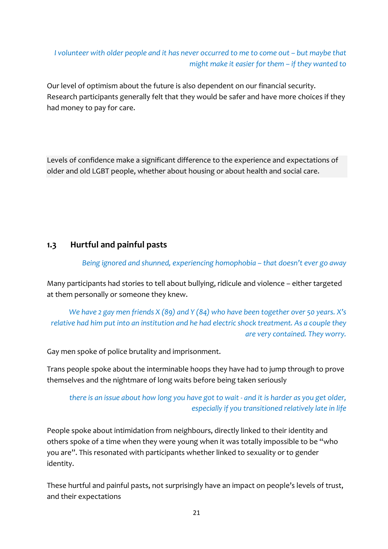## *I volunteer with older people and it has never occurred to me to come out – but maybe that might make it easier for them – if they wanted to*

Our level of optimism about the future is also dependent on our financial security. Research participants generally felt that they would be safer and have more choices if they had money to pay for care.

Levels of confidence make a significant difference to the experience and expectations of older and old LGBT people, whether about housing or about health and social care.

## **1.3 Hurtful and painful pasts**

#### *Being ignored and shunned, experiencing homophobia – that doesn't ever go away*

Many participants had stories to tell about bullying, ridicule and violence – either targeted at them personally or someone they knew.

*We have 2 gay men friends X (89) and Y (84) who have been together over 50 years. X's relative had him put into an institution and he had electric shock treatment. As a couple they are very contained. They worry.*

Gay men spoke of police brutality and imprisonment.

Trans people spoke about the interminable hoops they have had to jump through to prove themselves and the nightmare of long waits before being taken seriously

## there is an issue about how long you have got to wait - and it is harder as you get older, *especially if you transitioned relatively late in life*

People spoke about intimidation from neighbours, directly linked to their identity and others spoke of a time when they were young when it was totally impossible to be "who you are". This resonated with participants whether linked to sexuality or to gender identity.

These hurtful and painful pasts, not surprisingly have an impact on people's levels of trust, and their expectations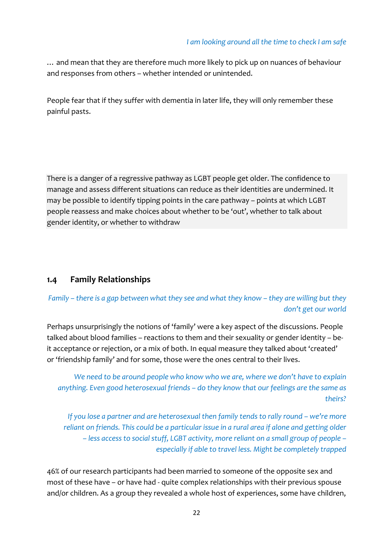… and mean that they are therefore much more likely to pick up on nuances of behaviour and responses from others – whether intended or unintended.

People fear that if they suffer with dementia in later life, they will only remember these painful pasts.

There is a danger of a regressive pathway as LGBT people get older. The confidence to manage and assess different situations can reduce as their identities are undermined. It may be possible to identify tipping points in the care pathway – points at which LGBT people reassess and make choices about whether to be 'out', whether to talk about gender identity, or whether to withdraw

## **1.4 Family Relationships**

## Family – there is a gap between what they see and what they know – they are willing but they *don't get our world*

Perhaps unsurprisingly the notions of 'family' were a key aspect of the discussions. People talked about blood families – reactions to them and their sexuality or gender identity – be‐ it acceptance or rejection, or a mix of both. In equal measure they talked about 'created' or 'friendship family' and for some, those were the ones central to their lives.

*We need to be around people who know who we are, where we don't have to explain anything. Even good heterosexual friends – do they know that our feelings are the same as theirs?*

*If you lose a partner and are heterosexual then family tends to rally round – we're more reliant on friends. This could be a particular issue in a rural area if alone and getting older – less access to social stuff, LGBT activity, more reliant on a small group of people – especially if able to travel less. Might be completely trapped*

46% of our research participants had been married to someone of the opposite sex and most of these have – or have had ‐ quite complex relationships with their previous spouse and/or children. As a group they revealed a whole host of experiences, some have children,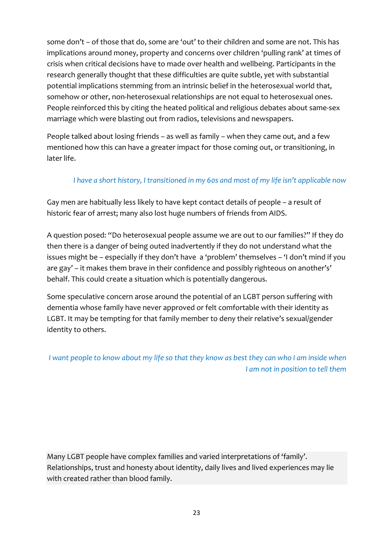some don't – of those that do, some are 'out' to their children and some are not. This has implications around money, property and concerns over children 'pulling rank' at times of crisis when critical decisions have to made over health and wellbeing. Participants in the research generally thought that these difficulties are quite subtle, yet with substantial potential implications stemming from an intrinsic belief in the heterosexual world that, somehow or other, non-heterosexual relationships are not equal to heterosexual ones. People reinforced this by citing the heated political and religious debates about same‐sex marriage which were blasting out from radios, televisions and newspapers.

People talked about losing friends – as well as family – when they came out, and a few mentioned how this can have a greater impact for those coming out, or transitioning, in later life.

## *I have a short history, I transitioned in my 60s and most of my life isn't applicable now*

Gay men are habitually less likely to have kept contact details of people – a result of historic fear of arrest; many also lost huge numbers of friends from AIDS.

A question posed: "Do heterosexual people assume we are out to our families?" If they do then there is a danger of being outed inadvertently if they do not understand what the issues might be – especially if they don't have a 'problem' themselves – 'I don't mind if you are gay' – it makes them brave in their confidence and possibly righteous on another's' behalf. This could create a situation which is potentially dangerous.

Some speculative concern arose around the potential of an LGBT person suffering with dementia whose family have never approved or felt comfortable with their identity as LGBT. It may be tempting for that family member to deny their relative's sexual/gender identity to others.

I want people to know about my life so that they know as best they can who I am inside when *I am not in position to tell them*

Many LGBT people have complex families and varied interpretations of 'family'. Relationships, trust and honesty about identity, daily lives and lived experiences may lie with created rather than blood family.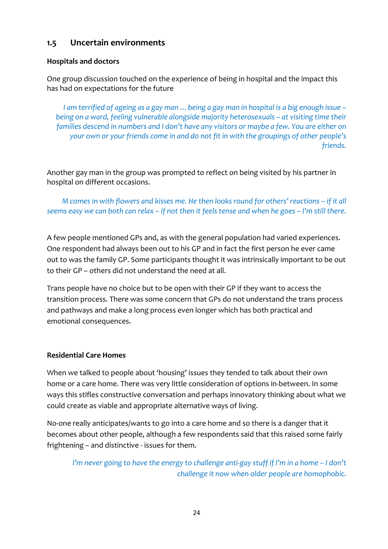## **1.5 Uncertain environments**

#### **Hospitals and doctors**

One group discussion touched on the experience of being in hospital and the impact this has had on expectations for the future

I am terrified of ageing as a gay man ... being a gay man in hospital is a big enough issue – *being on a ward, feeling vulnerable alongside majority heterosexuals – at visiting time their families descend in numbers and I don't have any visitors or maybe a few. You are either on your own or your friends come in and do not fit in with the groupings of other people's friends.*

Another gay man in the group was prompted to reflect on being visited by his partner in hospital on different occasions.

M comes in with flowers and kisses me. He then looks round for others' reactions - if it all seems easy we can both can relax - if not then it feels tense and when he goes - I'm still there.

A few people mentioned GPs and, as with the general population had varied experiences. One respondent had always been out to his GP and in fact the first person he ever came out to was the family GP. Some participants thought it was intrinsically important to be out to their GP – others did not understand the need at all.

Trans people have no choice but to be open with their GP if they want to access the transition process. There was some concern that GPs do not understand the trans process and pathways and make a long process even longer which has both practical and emotional consequences.

#### **Residential Care Homes**

When we talked to people about 'housing' issues they tended to talk about their own home or a care home. There was very little consideration of options in‐between. In some ways this stifles constructive conversation and perhaps innovatory thinking about what we could create as viable and appropriate alternative ways of living.

No‐one really anticipates/wants to go into a care home and so there is a danger that it becomes about other people, although a few respondents said that this raised some fairly frightening – and distinctive ‐ issues for them.

I'm never going to have the energy to challenge anti-gay stuff if I'm in a home - I don't *challenge it now when older people are homophobic.*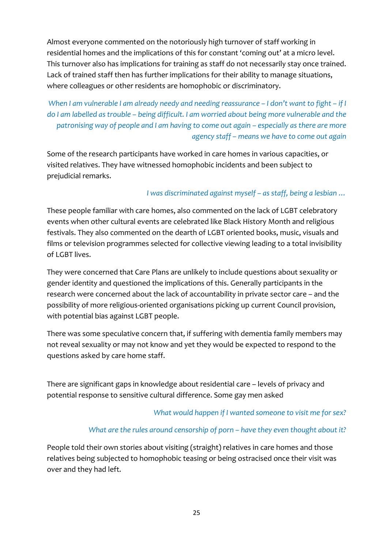Almost everyone commented on the notoriously high turnover of staff working in residential homes and the implications of this for constant 'coming out' at a micro level. This turnover also has implications for training as staff do not necessarily stay once trained. Lack of trained staff then has further implications for their ability to manage situations, where colleagues or other residents are homophobic or discriminatory.

When I am vulnerable I am already needy and needing reassurance - I don't want to fight - if I *do I am labelled as trouble – being difficult. I am worried about being more vulnerable and the patronising way of people and I am having to come out again – especially as there are more agency staff – means we have to come out again*

Some of the research participants have worked in care homes in various capacities, or visited relatives. They have witnessed homophobic incidents and been subject to prejudicial remarks.

## *I was discriminated against myself – as staff, being a lesbian …*

These people familiar with care homes, also commented on the lack of LGBT celebratory events when other cultural events are celebrated like Black History Month and religious festivals. They also commented on the dearth of LGBT oriented books, music, visuals and films or television programmes selected for collective viewing leading to a total invisibility of LGBT lives.

They were concerned that Care Plans are unlikely to include questions about sexuality or gender identity and questioned the implications of this. Generally participants in the research were concerned about the lack of accountability in private sector care – and the possibility of more religious‐oriented organisations picking up current Council provision, with potential bias against LGBT people.

There was some speculative concern that, if suffering with dementia family members may not reveal sexuality or may not know and yet they would be expected to respond to the questions asked by care home staff.

There are significant gaps in knowledge about residential care – levels of privacy and potential response to sensitive cultural difference. Some gay men asked

#### *What would happen if I wanted someone to visit me for sex?*

#### *What are the rules around censorship of porn – have they even thought about it?*

People told their own stories about visiting (straight) relatives in care homes and those relatives being subjected to homophobic teasing or being ostracised once their visit was over and they had left.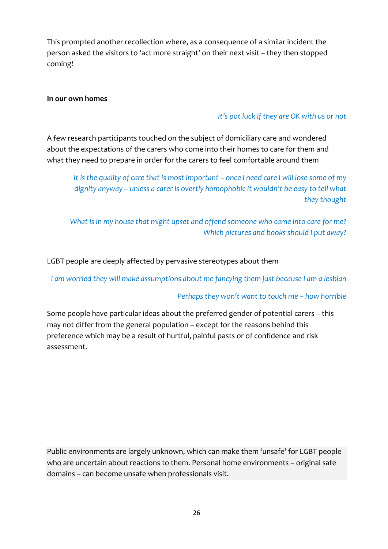This prompted another recollection where, as a consequence of a similar incident the person asked the visitors to 'act more straight' on their next visit – they then stopped coming!

#### **In our own homes**

#### *It's pot luck if they are OK with us or not*

A few research participants touched on the subject of domiciliary care and wondered about the expectations of the carers who come into their homes to care for them and what they need to prepare in order for the carers to feel comfortable around them

It is the quality of care that is most important - once I need care I will lose some of my *dignity anyway – unless a carer is overtly homophobic it wouldn't be easy to tell what they thought*

*What is in my house that might upset and offend someone who came into care for me? Which pictures and books should I put away?*

LGBT people are deeply affected by pervasive stereotypes about them

*I am worried they will make assumptions about me fancying them just because I am a lesbian*

#### *Perhaps they won't want to touch me – how horrible*

Some people have particular ideas about the preferred gender of potential carers – this may not differ from the general population – except for the reasons behind this preference which may be a result of hurtful, painful pasts or of confidence and risk assessment.

Public environments are largely unknown, which can make them 'unsafe' for LGBT people who are uncertain about reactions to them. Personal home environments – original safe domains – can become unsafe when professionals visit.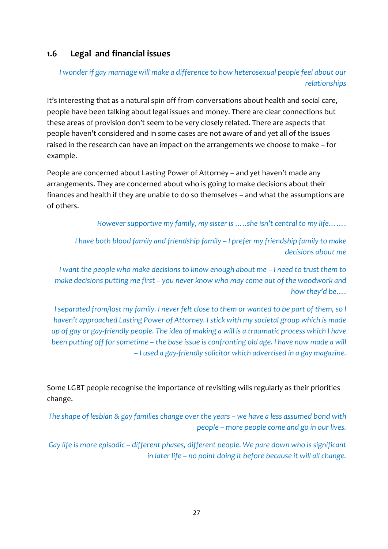## **1.6 Legal and financial issues**

## *I wonder if gay marriage will make a difference to how heterosexual people feel about our relationships*

It's interesting that as a natural spin off from conversations about health and social care, people have been talking about legal issues and money. There are clear connections but these areas of provision don't seem to be very closely related. There are aspects that people haven't considered and in some cases are not aware of and yet all of the issues raised in the research can have an impact on the arrangements we choose to make – for example.

People are concerned about Lasting Power of Attorney – and yet haven't made any arrangements. They are concerned about who is going to make decisions about their finances and health if they are unable to do so themselves – and what the assumptions are of others.

*However supportive my family, my sister is …..she isn't central to my life…….*

*I have both blood family and friendship family – I prefer my friendship family to make decisions about me*

*I want the people who make decisions to know enough about me – I need to trust them to make decisions putting me first – you never know who may come out of the woodwork and how they'd be….*

I separated from/lost my family. I never felt close to them or wanted to be part of them, so I *haven't approached Lasting Power of Attorney. I stick with my societal group which is made* up of gay or gay-friendly people. The idea of making a will is a traumatic process which I have been putting off for sometime - the base issue is confronting old age. I have now made a will *– I used a gay‐friendly solicitor which advertised in a gay magazine.*

Some LGBT people recognise the importance of revisiting wills regularly as their priorities change.

The shape of lesbian & gay families change over the years - we have a less assumed bond with *people – more people come and go in our lives.*

*Gay life is more episodic – different phases, different people. We pare down who is significant in later life – no point doing it before because it will all change.*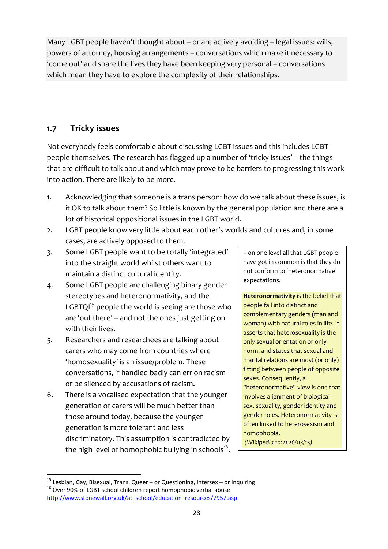Many LGBT people haven't thought about – or are actively avoiding – legal issues: wills, powers of attorney, housing arrangements – conversations which make it necessary to 'come out' and share the lives they have been keeping very personal – conversations which mean they have to explore the complexity of their relationships.

# **1.7 Tricky issues**

Not everybody feels comfortable about discussing LGBT issues and this includes LGBT people themselves. The research has flagged up a number of 'tricky issues' – the things that are difficult to talk about and which may prove to be barriers to progressing this work into action. There are likely to be more.

- 1. Acknowledging that someone is a trans person: how do we talk about these issues, is it OK to talk about them? So little is known by the general population and there are a lot of historical oppositional issues in the LGBT world.
- 2. LGBT people know very little about each other's worlds and cultures and, in some cases, are actively opposed to them.
- 3. Some LGBT people want to be totally 'integrated' into the straight world whilst others want to maintain a distinct cultural identity.
- 4. Some LGBT people are challenging binary gender stereotypes and heteronormativity, and the LGBTQ $1<sup>15</sup>$  people the world is seeing are those who are 'out there' – and not the ones just getting on with their lives.
- 5. Researchers and researchees are talking about carers who may come from countries where 'homosexuality' is an issue/problem. These conversations, if handled badly can err on racism or be silenced by accusations of racism.
- 6. There is a vocalised expectation that the younger generation of carers will be much better than those around today, because the younger generation is more tolerant and less discriminatory. This assumption is contradicted by the high level of homophobic bullying in schools<sup>16</sup>.

– on one level all that LGBT people have got in common is that they do not conform to 'heteronormative' expectations.

**Heteronormativity** is the belief that people fall into distinct and complementary genders (man and woman) with natural roles in life. It asserts that heterosexuality is the only sexual orientation or only norm, and states that sexual and marital relations are most (or only) fitting between people of opposite sexes. Consequently, a "heteronormative" view is one that involves alignment of biological sex, sexuality, gender identity and gender roles. Heteronormativity is often linked to heterosexism and homophobia. *(Wikipedia 10:21 26/03/15)*

 <sup>15</sup> Lesbian, Gay, Bisexual, Trans, Queer – or Questioning, Intersex – or Inquiring<br><sup>16</sup> Over 90% of LGBT school children report homophobic verbal abuse http://www.stonewall.org.uk/at\_school/education\_resources/7957.asp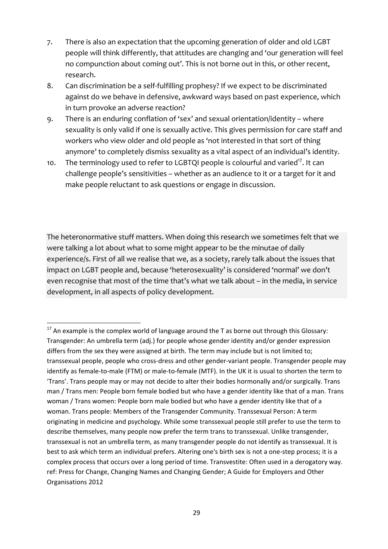- 7. There is also an expectation that the upcoming generation of older and old LGBT people will think differently, that attitudes are changing and 'our generation will feel no compunction about coming out'. This is not borne out in this, or other recent, research.
- 8. Can discrimination be a self-fulfilling prophesy? If we expect to be discriminated against do we behave in defensive, awkward ways based on past experience, which in turn provoke an adverse reaction?
- 9. There is an enduring conflation of 'sex' and sexual orientation/identity where sexuality is only valid if one is sexually active. This gives permission for care staff and workers who view older and old people as 'not interested in that sort of thing anymore' to completely dismiss sexuality as a vital aspect of an individual's identity.
- 10. The terminology used to refer to LGBTQI people is colourful and varied<sup>17</sup>. It can challenge people's sensitivities – whether as an audience to it or a target for it and make people reluctant to ask questions or engage in discussion.

The heteronormative stuff matters. When doing this research we sometimes felt that we were talking a lot about what to some might appear to be the minutae of daily experience/s. First of all we realise that we, as a society, rarely talk about the issues that impact on LGBT people and, because 'heterosexuality' is considered 'normal' we don't even recognise that most of the time that's what we talk about – in the media, in service development, in all aspects of policy development.

  $17$  An example is the complex world of language around the T as borne out through this Glossary: Transgender: An umbrella term (adj.) for people whose gender identity and/or gender expression differs from the sex they were assigned at birth. The term may include but is not limited to; transsexual people, people who cross‐dress and other gender‐variant people. Transgender people may identify as female‐to‐male (FTM) or male‐to‐female (MTF). In the UK it is usual to shorten the term to 'Trans'. Trans people may or may not decide to alter their bodies hormonally and/or surgically. Trans man / Trans men: People born female bodied but who have a gender identity like that of a man. Trans woman / Trans women: People born male bodied but who have a gender identity like that of a woman. Trans people: Members of the Transgender Community. Transsexual Person: A term originating in medicine and psychology. While some transsexual people still prefer to use the term to describe themselves, many people now prefer the term trans to transsexual. Unlike transgender, transsexual is not an umbrella term, as many transgender people do not identify as transsexual. It is best to ask which term an individual prefers. Altering one's birth sex is not a one‐step process; it is a complex process that occurs over a long period of time. Transvestite: Often used in a derogatory way. ref: Press for Change, Changing Names and Changing Gender; A Guide for Employers and Other Organisations 2012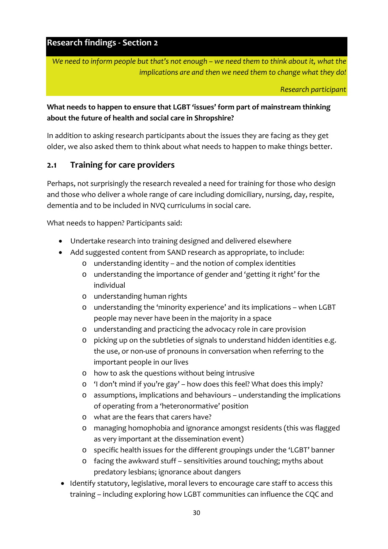**Research findings ‐ Section 2**

*We need to inform people but that's not enough – we need them to think about it, what the implications are and then we need them to change what they do!*

*Research participant*

## **What needs to happen to ensure that LGBT 'issues' form part of mainstream thinking about the future of health and social care in Shropshire?**

In addition to asking research participants about the issues they are facing as they get older, we also asked them to think about what needs to happen to make things better.

# **2.1 Training for care providers**

Perhaps, not surprisingly the research revealed a need for training for those who design and those who deliver a whole range of care including domiciliary, nursing, day, respite, dementia and to be included in NVQ curriculums in social care.

What needs to happen? Participants said:

- Undertake research into training designed and delivered elsewhere
- Add suggested content from SAND research as appropriate, to include:
	- o understanding identity and the notion of complex identities
	- o understanding the importance of gender and 'getting it right' for the individual
	- o understanding human rights
	- o understanding the 'minority experience' and its implications when LGBT people may never have been in the majority in a space
	- o understanding and practicing the advocacy role in care provision
	- o picking up on the subtleties of signals to understand hidden identities e.g. the use, or non‐use of pronouns in conversation when referring to the important people in our lives
	- o how to ask the questions without being intrusive
	- o 'I don't mind if you're gay' how does this feel? What does this imply?
	- o assumptions, implications and behaviours understanding the implications of operating from a 'heteronormative' position
	- o what are the fears that carers have?
	- o managing homophobia and ignorance amongst residents (this was flagged as very important at the dissemination event)
	- o specific health issues for the different groupings under the 'LGBT' banner
	- o facing the awkward stuff sensitivities around touching; myths about predatory lesbians; ignorance about dangers
- Identify statutory, legislative, moral levers to encourage care staff to access this training – including exploring how LGBT communities can influence the CQC and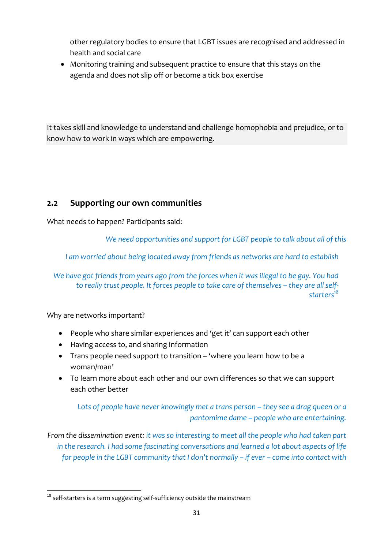other regulatory bodies to ensure that LGBT issues are recognised and addressed in health and social care

 Monitoring training and subsequent practice to ensure that this stays on the agenda and does not slip off or become a tick box exercise

It takes skill and knowledge to understand and challenge homophobia and prejudice, or to know how to work in ways which are empowering.

# **2.2 Supporting our own communities**

What needs to happen? Participants said:

*We need opportunities and support for LGBT people to talk about all of this*

*I am worried about being located away from friends as networks are hard to establish*

*We have got friends from years ago from the forces when it was illegal to be gay. You had to really trust people. It forces people to take care of themselves – they are all self‐ starters18*

Why are networks important?

- People who share similar experiences and 'get it' can support each other
- Having access to, and sharing information
- Trans people need support to transition 'where you learn how to be a woman/man'
- To learn more about each other and our own differences so that we can support each other better

*Lots of people have never knowingly met a trans person – they see a drag queen or a pantomime dame – people who are entertaining.* 

*From the dissemination event: it was so interesting to meet all the people who had taken part in the research. I had some fascinating conversations and learned a lot about aspects of life for people in the LGBT community that I don't normally – if ever – come into contact with*

  $18$  self-starters is a term suggesting self-sufficiency outside the mainstream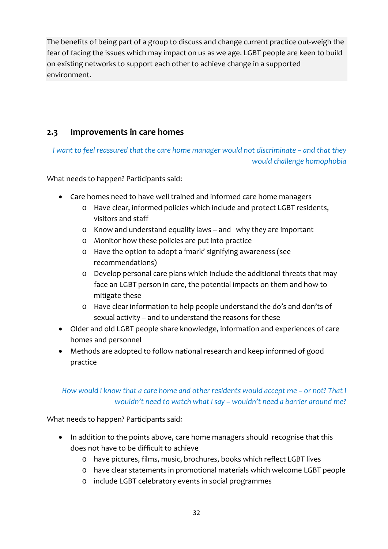The benefits of being part of a group to discuss and change current practice out‐weigh the fear of facing the issues which may impact on us as we age. LGBT people are keen to build on existing networks to support each other to achieve change in a supported environment.

# **2.3 Improvements in care homes**

*I want to feel reassured that the care home manager would not discriminate – and that they would challenge homophobia*

What needs to happen? Participants said:

- Care homes need to have well trained and informed care home managers
	- o Have clear, informed policies which include and protect LGBT residents, visitors and staff
	- o Know and understand equality laws and why they are important
	- o Monitor how these policies are put into practice
	- o Have the option to adopt a 'mark' signifying awareness (see recommendations)
	- o Develop personal care plans which include the additional threats that may face an LGBT person in care, the potential impacts on them and how to mitigate these
	- o Have clear information to help people understand the do's and don'ts of sexual activity – and to understand the reasons for these
- Older and old LGBT people share knowledge, information and experiences of care homes and personnel
- Methods are adopted to follow national research and keep informed of good practice

## *How would I know that a care home and other residents would accept me – or not? That I wouldn't need to watch what I say – wouldn't need a barrier around me?*

What needs to happen? Participants said:

- In addition to the points above, care home managers should recognise that this does not have to be difficult to achieve
	- o have pictures, films, music, brochures, books which reflect LGBT lives
	- o have clear statements in promotional materials which welcome LGBT people
	- o include LGBT celebratory events in social programmes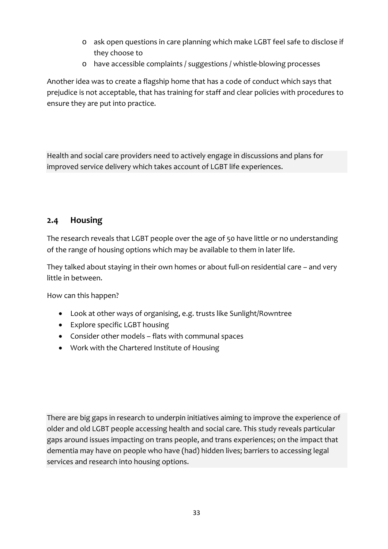- o ask open questions in care planning which make LGBT feel safe to disclose if they choose to
- o have accessible complaints / suggestions / whistle‐blowing processes

Another idea was to create a flagship home that has a code of conduct which says that prejudice is not acceptable, that has training for staff and clear policies with procedures to ensure they are put into practice.

Health and social care providers need to actively engage in discussions and plans for improved service delivery which takes account of LGBT life experiences.

## **2.4 Housing**

The research reveals that LGBT people over the age of 50 have little or no understanding of the range of housing options which may be available to them in later life.

They talked about staying in their own homes or about full‐on residential care – and very little in between.

How can this happen?

- Look at other ways of organising, e.g. trusts like Sunlight/Rowntree
- Explore specific LGBT housing
- Consider other models flats with communal spaces
- Work with the Chartered Institute of Housing

There are big gaps in research to underpin initiatives aiming to improve the experience of older and old LGBT people accessing health and social care. This study reveals particular gaps around issues impacting on trans people, and trans experiences; on the impact that dementia may have on people who have (had) hidden lives; barriers to accessing legal services and research into housing options.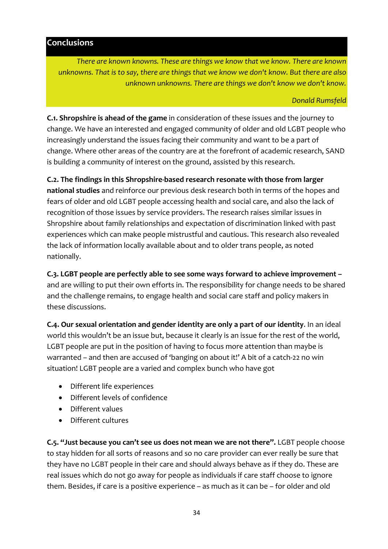#### **Conclusions**

*There are known knowns. These are things we know that we know. There are known unknowns. That is to say, there are things that we know we don't know. But there are also unknown unknowns. There are things we don't know we don't know.*

#### *Donald Rumsfeld*

**C.1. Shropshire is ahead of the game** in consideration of these issues and the journey to change. We have an interested and engaged community of older and old LGBT people who increasingly understand the issues facing their community and want to be a part of change. Where other areas of the country are at the forefront of academic research, SAND is building a community of interest on the ground, assisted by this research.

**C.2. The findings in this Shropshire‐based research resonate with those from larger**

**national studies** and reinforce our previous desk research both in terms of the hopes and fears of older and old LGBT people accessing health and social care, and also the lack of recognition of those issues by service providers. The research raises similar issues in Shropshire about family relationships and expectation of discrimination linked with past experiences which can make people mistrustful and cautious. This research also revealed the lack of information locally available about and to older trans people, as noted nationally.

**C.3. LGBT people are perfectly able to see some ways forward to achieve improvement –** and are willing to put their own efforts in. The responsibility for change needs to be shared and the challenge remains, to engage health and social care staff and policy makers in these discussions.

**C.4. Our sexual orientation and gender identity are only a part of our identity**. In an ideal world this wouldn't be an issue but, because it clearly is an issue for the rest of the world, LGBT people are put in the position of having to focus more attention than maybe is warranted – and then are accused of 'banging on about it!' A bit of a catch‐22 no win situation! LGBT people are a varied and complex bunch who have got

- Different life experiences
- Different levels of confidence
- Different values
- Different cultures

**C.5. "Just because you can't see us does not mean we are not there".** LGBT people choose to stay hidden for all sorts of reasons and so no care provider can ever really be sure that they have no LGBT people in their care and should always behave as if they do. These are real issues which do not go away for people as individuals if care staff choose to ignore them. Besides, if care is a positive experience – as much as it can be – for older and old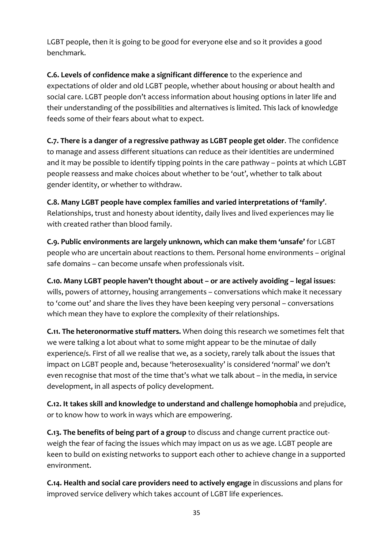LGBT people, then it is going to be good for everyone else and so it provides a good benchmark.

**C.6. Levels of confidence make a significant difference** to the experience and expectations of older and old LGBT people, whether about housing or about health and social care. LGBT people don't access information about housing options in later life and their understanding of the possibilities and alternatives is limited. This lack of knowledge feeds some of their fears about what to expect.

**C.7. There is a danger of a regressive pathway as LGBT people get older**. The confidence to manage and assess different situations can reduce as their identities are undermined and it may be possible to identify tipping points in the care pathway – points at which LGBT people reassess and make choices about whether to be 'out', whether to talk about gender identity, or whether to withdraw.

**C.8. Many LGBT people have complex families and varied interpretations of 'family'**. Relationships, trust and honesty about identity, daily lives and lived experiences may lie with created rather than blood family.

**C.9. Public environments are largely unknown, which can make them 'unsafe'** for LGBT people who are uncertain about reactions to them. Personal home environments – original safe domains – can become unsafe when professionals visit.

**C.10. Many LGBT people haven't thought about – or are actively avoiding – legal issues**: wills, powers of attorney, housing arrangements – conversations which make it necessary to 'come out' and share the lives they have been keeping very personal – conversations which mean they have to explore the complexity of their relationships.

**C.11. The heteronormative stuff matters.** When doing this research we sometimes felt that we were talking a lot about what to some might appear to be the minutae of daily experience/s. First of all we realise that we, as a society, rarely talk about the issues that impact on LGBT people and, because 'heterosexuality' is considered 'normal' we don't even recognise that most of the time that's what we talk about – in the media, in service development, in all aspects of policy development.

**C.12. It takes skill and knowledge to understand and challenge homophobia** and prejudice, or to know how to work in ways which are empowering.

**C.13. The benefits of being part of a group** to discuss and change current practice out‐ weigh the fear of facing the issues which may impact on us as we age. LGBT people are keen to build on existing networks to support each other to achieve change in a supported environment.

**C.14. Health and social care providers need to actively engage** in discussions and plans for improved service delivery which takes account of LGBT life experiences.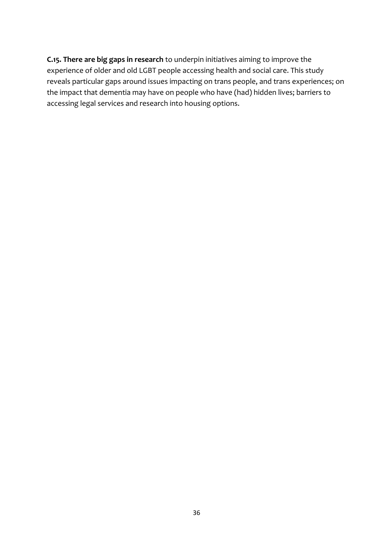**C.15. There are big gaps in research** to underpin initiatives aiming to improve the experience of older and old LGBT people accessing health and social care. This study reveals particular gaps around issues impacting on trans people, and trans experiences; on the impact that dementia may have on people who have (had) hidden lives; barriers to accessing legal services and research into housing options.